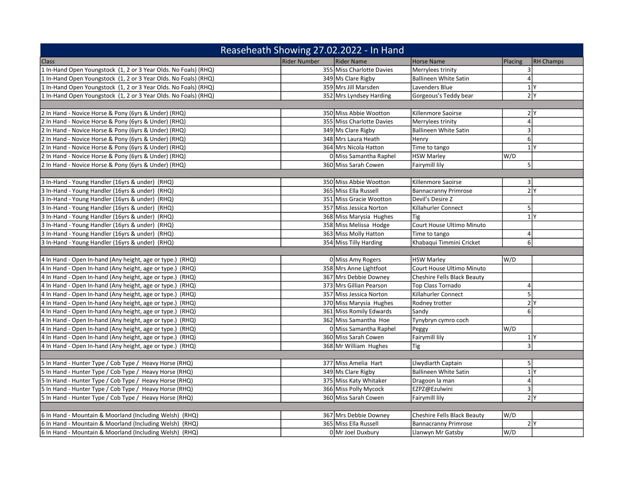| Reaseheath Showing 27.02.2022 - In Hand                         |                            |  |                                    |                  |                  |
|-----------------------------------------------------------------|----------------------------|--|------------------------------------|------------------|------------------|
| <b>Class</b>                                                    | Rider Number<br>Rider Name |  | <b>Horse Name</b>                  | Placing          | <b>RH Champs</b> |
| 1 In-Hand Open Youngstock (1, 2 or 3 Year Olds. No Foals) (RHQ) | 355 Miss Charlotte Davies  |  | Merrylees trinity                  | 3                |                  |
| 1 In-Hand Open Youngstock (1, 2 or 3 Year Olds. No Foals) (RHQ) | 349 Ms Clare Rigby         |  | <b>Ballineen White Satin</b>       | $\vert$          |                  |
| 1 In-Hand Open Youngstock (1, 2 or 3 Year Olds. No Foals) (RHQ) | 359 Mrs Jill Marsden       |  | Lavenders Blue                     |                  | 1 <sup>Y</sup>   |
| 1 In-Hand Open Youngstock (1, 2 or 3 Year Olds. No Foals) (RHQ) | 352 Mrs Lyndsey Harding    |  | Gorgeous's Teddy bear              |                  | 2 <sup>1</sup>   |
|                                                                 |                            |  |                                    |                  |                  |
| 2 In Hand - Novice Horse & Pony (6yrs & Under) (RHQ)            | 350 Miss Abbie Wootton     |  | Killenmore Saoirse                 |                  | 2 <sup>Y</sup>   |
| 2 In Hand - Novice Horse & Pony (6yrs & Under) (RHQ)            | 355 Miss Charlotte Davies  |  | Merrylees trinity                  | $\overline{4}$   |                  |
| 2 In Hand - Novice Horse & Pony (6yrs & Under) (RHQ)            | 349 Ms Clare Rigby         |  | <b>Ballineen White Satin</b>       | 3                |                  |
| 2 In Hand - Novice Horse & Pony (6yrs & Under) (RHQ)            | 348 Mrs Laura Heath        |  | Henry                              | 6 <sup>1</sup>   |                  |
| 2 In Hand - Novice Horse & Pony (6yrs & Under) (RHQ)            | 364 Mrs Nicola Hatton      |  | Time to tango                      |                  | 1 <sup>N</sup>   |
| 2 In Hand - Novice Horse & Pony (6yrs & Under) (RHQ)            | 0 Miss Samantha Raphel     |  | <b>HSW Marley</b>                  | W/D              |                  |
| 2 In Hand - Novice Horse & Pony (6yrs & Under) (RHQ)            | 360 Miss Sarah Cowen       |  | Fairymill lily                     | 5 <sup>1</sup>   |                  |
|                                                                 |                            |  |                                    |                  |                  |
| 3 In-Hand - Young Handler (16yrs & under) (RHQ)                 | 350 Miss Abbie Wootton     |  | Killenmore Saoirse                 | 3                |                  |
| 3 In-Hand - Young Handler (16yrs & under) (RHQ)                 | 365 Miss Ella Russell      |  | <b>Bannacranny Primrose</b>        |                  | 2 <sup>N</sup>   |
| 3 In-Hand - Young Handler (16yrs & under) (RHQ)                 | 351 Miss Gracie Wootton    |  | Devil's Desire Z                   |                  |                  |
| 3 In-Hand - Young Handler (16yrs & under) (RHQ)                 | 357 Miss Jessica Norton    |  | Killahurler Connect                | 5                |                  |
| 3 In-Hand - Young Handler (16yrs & under) (RHQ)                 | 368 Miss Marysia Hughes    |  | Tig                                |                  | 1 <sup>Y</sup>   |
| 3 In-Hand - Young Handler (16yrs & under) (RHQ)                 | 358 Miss Melissa Hodge     |  | Court House Ultimo Minuto          |                  |                  |
| 3 In-Hand - Young Handler (16yrs & under) (RHQ)                 | 363 Miss Molly Hatton      |  | Time to tango                      | $\overline{4}$   |                  |
| 3 In-Hand - Young Handler (16yrs & under) (RHQ)                 | 354 Miss Tilly Harding     |  | Khabaqui Timmini Cricket           | 6 <sup>1</sup>   |                  |
|                                                                 |                            |  |                                    |                  |                  |
| 4 In Hand - Open In-hand (Any height, age or type.) (RHQ)       | 0 Miss Amy Rogers          |  | <b>HSW Marley</b>                  | W/D              |                  |
| 4 In Hand - Open In-hand (Any height, age or type.) (RHQ)       | 358 Mrs Anne Lightfoot     |  | Court House Ultimo Minuto          |                  |                  |
| 4 In Hand - Open In-hand (Any height, age or type.) (RHQ)       | 367 Mrs Debbie Downey      |  | Cheshire Fells Black Beauty        |                  |                  |
| 4 In Hand - Open In-hand (Any height, age or type.) (RHQ)       | 373 Mrs Gillian Pearson    |  | Top Class Tornado                  | $\overline{4}$   |                  |
| 4 In Hand - Open In-hand (Any height, age or type.) (RHQ)       | 357 Miss Jessica Norton    |  | Killahurler Connect                | $\overline{5}$   |                  |
| 4 In Hand - Open In-hand (Any height, age or type.) (RHQ)       | 370 Miss Marysia Hughes    |  | Rodney trotter                     |                  | 2 <sup>Y</sup>   |
| 4 In Hand - Open In-hand (Any height, age or type.) (RHQ)       | 361 Miss Romily Edwards    |  | Sandy                              | $6 \overline{6}$ |                  |
| 4 In Hand - Open In-hand (Any height, age or type.) (RHQ)       | 362 Miss Samantha Hoe      |  | Tynybryn cymro coch                |                  |                  |
| 4 In Hand - Open In-hand (Any height, age or type.) (RHQ)       | 0 Miss Samantha Raphel     |  | Peggy                              | W/D              |                  |
| 4 In Hand - Open In-hand (Any height, age or type.) (RHQ)       | 360 Miss Sarah Cowen       |  | Fairymill lily                     |                  | 1 <sup>Y</sup>   |
| 4 In Hand - Open In-hand (Any height, age or type.) (RHQ)       | 368 Mr William Hughes      |  | Tig                                | $\overline{3}$   |                  |
|                                                                 |                            |  |                                    |                  |                  |
| 5 In Hand - Hunter Type / Cob Type / Heavy Horse (RHQ)          | 377 Miss Amelia Hart       |  | Llwydiarth Captain                 | 5 <sup>1</sup>   |                  |
| 5 In Hand - Hunter Type / Cob Type / Heavy Horse (RHQ)          | 349 Ms Clare Rigby         |  | <b>Ballineen White Satin</b>       |                  | 1 <sup>N</sup>   |
| 5 In Hand - Hunter Type / Cob Type / Heavy Horse (RHQ)          | 375 Miss Katy Whitaker     |  | Dragoon la man                     | $\overline{4}$   |                  |
| 5 In Hand - Hunter Type / Cob Type / Heavy Horse (RHQ)          | 366 Miss Polly Mycock      |  | EZPZ@Ezulwini                      | $\overline{3}$   |                  |
| 5 In Hand - Hunter Type / Cob Type / Heavy Horse (RHQ)          | 360 Miss Sarah Cowen       |  | Fairymill lily                     |                  | 2 <sub>Y</sub>   |
|                                                                 |                            |  |                                    |                  |                  |
| 6 In Hand - Mountain & Moorland (Including Welsh) (RHQ)         | 367 Mrs Debbie Downey      |  | <b>Cheshire Fells Black Beauty</b> | W/D              |                  |
| 6 In Hand - Mountain & Moorland (Including Welsh) (RHQ)         | 365 Miss Ella Russell      |  | <b>Bannacranny Primrose</b>        |                  | 2Y               |
| 6 In Hand - Mountain & Moorland (Including Welsh) (RHQ)         | 0 Mr Joel Duxbury          |  | Llanwyn Mr Gatsby                  | W/D              |                  |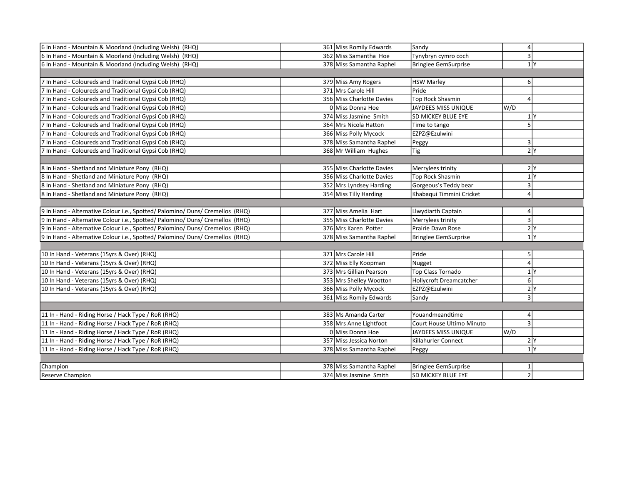| 6 In Hand - Mountain & Moorland (Including Welsh) (RHQ)                       | 361 Miss Romily Edwards   | Sandy                     |     | 4              |  |
|-------------------------------------------------------------------------------|---------------------------|---------------------------|-----|----------------|--|
| 6 In Hand - Mountain & Moorland (Including Welsh) (RHQ)                       | 362 Miss Samantha Hoe     | Tynybryn cymro coch       |     | $\overline{3}$ |  |
| 6 In Hand - Mountain & Moorland (Including Welsh) (RHQ)                       | 378 Miss Samantha Raphel  | Bringlee GemSurprise      |     | 1 <sup>N</sup> |  |
|                                                                               |                           |                           |     |                |  |
| 7 In Hand - Coloureds and Traditional Gypsi Cob (RHQ)                         | 379 Miss Amy Rogers       | <b>HSW Marley</b>         |     | $6 \mid$       |  |
| 7 In Hand - Coloureds and Traditional Gypsi Cob (RHQ)                         | 371 Mrs Carole Hill       | Pride                     |     |                |  |
| 7 In Hand - Coloureds and Traditional Gypsi Cob (RHQ)                         | 356 Miss Charlotte Davies | Top Rock Shasmin          |     | 4              |  |
| 7 In Hand - Coloureds and Traditional Gypsi Cob (RHQ)                         | 0 Miss Donna Hoe          | JAYDEES MISS UNIQUE       | W/D |                |  |
| 7 In Hand - Coloureds and Traditional Gypsi Cob (RHQ)                         | 374 Miss Jasmine Smith    | SD MICKEY BLUE EYE        |     | 1 <sup>Y</sup> |  |
| 7 In Hand - Coloureds and Traditional Gypsi Cob (RHQ)                         | 364 Mrs Nicola Hatton     | Time to tango             |     | 5              |  |
| 7 In Hand - Coloureds and Traditional Gypsi Cob (RHQ)                         | 366 Miss Polly Mycock     | EZPZ@Ezulwini             |     |                |  |
| 7 In Hand - Coloureds and Traditional Gypsi Cob (RHQ)                         | 378 Miss Samantha Raphel  | Peggy                     |     | $\vert$ 3      |  |
| 7 In Hand - Coloureds and Traditional Gypsi Cob (RHQ)                         | 368 Mr William Hughes     | Tig                       |     | 2Y             |  |
|                                                                               |                           |                           |     |                |  |
| 8 In Hand - Shetland and Miniature Pony (RHQ)                                 | 355 Miss Charlotte Davies | Merrylees trinity         |     | 2 <sup>N</sup> |  |
| 8 In Hand - Shetland and Miniature Pony (RHQ)                                 | 356 Miss Charlotte Davies | Top Rock Shasmin          |     | 1 <sup>N</sup> |  |
| 8 In Hand - Shetland and Miniature Pony (RHQ)                                 | 352 Mrs Lyndsey Harding   | Gorgeous's Teddy bear     |     | 3              |  |
| 8 In Hand - Shetland and Miniature Pony (RHQ)                                 | 354 Miss Tilly Harding    | Khabaqui Timmini Cricket  |     | 4              |  |
|                                                                               |                           |                           |     |                |  |
| 9 In Hand - Alternative Colour i.e., Spotted/ Palomino/ Duns/ Cremellos (RHQ) | 377 Miss Amelia Hart      | Llwydiarth Captain        |     | 4              |  |
| 9 In Hand - Alternative Colour i.e., Spotted/ Palomino/ Duns/ Cremellos (RHQ) | 355 Miss Charlotte Davies | Merrylees trinity         |     | 3              |  |
| 9 In Hand - Alternative Colour i.e., Spotted/ Palomino/ Duns/ Cremellos (RHQ) | 376 Mrs Karen Potter      | Prairie Dawn Rose         |     | 2 <sub>Y</sub> |  |
| 9 In Hand - Alternative Colour i.e., Spotted/ Palomino/ Duns/ Cremellos (RHQ) | 378 Miss Samantha Raphel  | Bringlee GemSurprise      |     | 1 <sup>N</sup> |  |
|                                                                               |                           |                           |     |                |  |
| 10 In Hand - Veterans (15yrs & Over) (RHQ)                                    | 371 Mrs Carole Hill       | Pride                     |     | 5              |  |
| 10 In Hand - Veterans (15yrs & Over) (RHQ)                                    | 372 Miss Elly Koopman     | Nugget                    |     | 4              |  |
| 10 In Hand - Veterans (15yrs & Over) (RHQ)                                    | 373 Mrs Gillian Pearson   | Top Class Tornado         |     | 1 <sup>Y</sup> |  |
| 10 In Hand - Veterans (15yrs & Over) (RHQ)                                    | 353 Mrs Shelley Wootton   | Hollycroft Dreamcatcher   |     | $6 \mid$       |  |
| 10 In Hand - Veterans (15yrs & Over) (RHQ)                                    | 366 Miss Polly Mycock     | EZPZ@Ezulwini             |     | 2 <sup>1</sup> |  |
|                                                                               | 361 Miss Romily Edwards   | Sandy                     |     | 3              |  |
|                                                                               |                           |                           |     |                |  |
| 11 In - Hand - Riding Horse / Hack Type / RoR (RHQ)                           | 383 Ms Amanda Carter      | Youandmeandtime           |     | 4              |  |
| 11 In - Hand - Riding Horse / Hack Type / RoR (RHQ)                           | 358 Mrs Anne Lightfoot    | Court House Ultimo Minuto |     | 3              |  |
| 11 In - Hand - Riding Horse / Hack Type / RoR (RHQ)                           | O Miss Donna Hoe          | JAYDEES MISS UNIQUE       | W/D |                |  |
| 11 In - Hand - Riding Horse / Hack Type / RoR (RHQ)                           | 357 Miss Jessica Norton   | Killahurler Connect       |     | 2 <sub>Y</sub> |  |
| 11 In - Hand - Riding Horse / Hack Type / RoR (RHQ)                           | 378 Miss Samantha Raphel  | Peggy                     |     | 1 <sup>N</sup> |  |
|                                                                               |                           |                           |     |                |  |
| Champion                                                                      | 378 Miss Samantha Raphel  | Bringlee GemSurprise      |     | 1              |  |
| Reserve Champion                                                              | 374 Miss Jasmine Smith    | <b>SD MICKEY BLUE EYE</b> |     | $\overline{2}$ |  |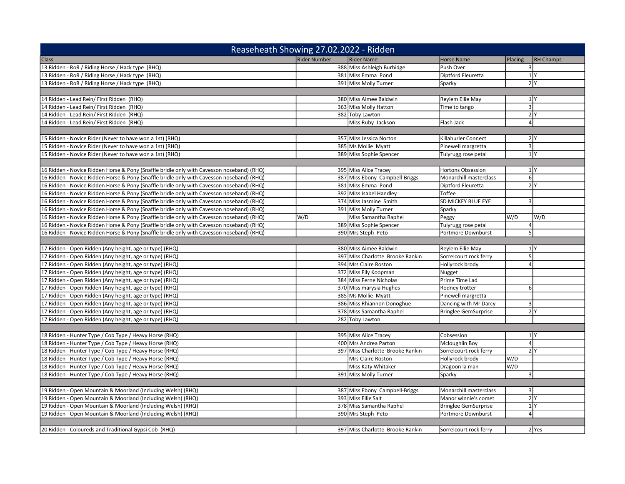|                                                                                           | Reaseheath Showing 27.02.2022 - Ridden |                                  |                             |         |                    |
|-------------------------------------------------------------------------------------------|----------------------------------------|----------------------------------|-----------------------------|---------|--------------------|
| <b>Class</b>                                                                              | <b>Rider Number</b>                    | <b>Rider Name</b>                | <b>Horse Name</b>           | Placing | <b>RH Champs</b>   |
| 13 Ridden - RoR / Riding Horse / Hack type (RHQ)                                          |                                        | 388 Miss Ashleigh Burbidge       | Push Over                   | 3       |                    |
| 13 Ridden - RoR / Riding Horse / Hack type (RHQ)                                          |                                        | 381 Miss Emma Pond               | Diptford Fleuretta          |         | 1 Y                |
| 13 Ridden - RoR / Riding Horse / Hack type (RHQ)                                          |                                        | 391 Miss Molly Turner            | Sparky                      |         | 2 Y                |
|                                                                                           |                                        |                                  |                             |         |                    |
| 14 Ridden - Lead Rein/ First Ridden (RHQ)                                                 |                                        | 380 Miss Aimee Baldwin           | Reylem Ellie May            |         | $1$ Y              |
| 14 Ridden - Lead Rein/ First Ridden (RHQ)                                                 |                                        | 363 Miss Molly Hatton            | Time to tango               |         | $\overline{3}$     |
| 14 Ridden - Lead Rein/ First Ridden (RHQ)                                                 |                                        | 382 Toby Lawton                  |                             |         | 2 Y                |
| 14 Ridden - Lead Rein/ First Ridden (RHQ)                                                 |                                        | Miss Ruby Jackson                | Flash Jack                  |         | $\overline{4}$     |
|                                                                                           |                                        |                                  |                             |         |                    |
| 15 Ridden - Novice Rider (Never to have won a 1st) (RHQ)                                  |                                        | 357 Miss Jessica Norton          | Killahurler Connect         |         | 2 Y                |
| 15 Ridden - Novice Rider (Never to have won a 1st) (RHQ)                                  |                                        | 385 Ms Mollie Myatt              | Pinewell margretta          |         | $\overline{3}$     |
| 15 Ridden - Novice Rider (Never to have won a 1st) (RHQ)                                  |                                        | 389 Miss Sophie Spencer          | Tulyrugg rose petal         |         | 1 Y                |
|                                                                                           |                                        |                                  |                             |         |                    |
| 16 Ridden - Novice Ridden Horse & Pony (Snaffle bridle only with Cavesson noseband) (RHQ) |                                        | 395 Miss Alice Tracey            | <b>Hortons Obsession</b>    |         | 1 Y                |
| 16 Ridden - Novice Ridden Horse & Pony (Snaffle bridle only with Cavesson noseband) (RHQ) |                                        | 387 Miss Ebony Campbell-Briggs   | Monarchill masterclass      |         | 6                  |
| 16 Ridden - Novice Ridden Horse & Pony (Snaffle bridle only with Cavesson noseband) (RHQ) |                                        | 381 Miss Emma Pond               | Diptford Fleuretta          |         | 2 Y                |
| 16 Ridden - Novice Ridden Horse & Pony (Snaffle bridle only with Cavesson noseband) (RHQ) |                                        | 392 Miss Isabel Handley          | Toffee                      |         |                    |
| 16 Ridden - Novice Ridden Horse & Pony (Snaffle bridle only with Cavesson noseband) (RHQ) |                                        | 374 Miss Jasmine Smith           | SD MICKEY BLUE EYE          |         | $\overline{3}$     |
| 16 Ridden - Novice Ridden Horse & Pony (Snaffle bridle only with Cavesson noseband) (RHQ) |                                        | 391 Miss Molly Turner            | Sparky                      |         |                    |
| 16 Ridden - Novice Ridden Horse & Pony (Snaffle bridle only with Cavesson noseband) (RHQ) | W/D                                    | Miss Samantha Raphel             | Peggy                       | W/D     | W/D                |
| 16 Ridden - Novice Ridden Horse & Pony (Snaffle bridle only with Cavesson noseband) (RHQ) |                                        | 389 Miss Sophie Spencer          | Tulyrugg rose petal         | 4       |                    |
| 16 Ridden - Novice Ridden Horse & Pony (Snaffle bridle only with Cavesson noseband) (RHQ) |                                        | 390 Mrs Steph Peto               | Portmore Downburst          |         | 5                  |
|                                                                                           |                                        |                                  |                             |         |                    |
| 17 Ridden - Open Ridden (Any height, age or type) (RHQ)                                   |                                        | 380 Miss Aimee Baldwin           | Reylem Ellie May            |         | 1 Y                |
| 17 Ridden - Open Ridden (Any height, age or type) (RHQ)                                   |                                        | 397 Miss Charlotte Brooke Rankin | Sorrelcourt rock ferry      |         | 5                  |
| 17 Ridden - Open Ridden (Any height, age or type) (RHQ)                                   |                                        | 394 Mrs Claire Roston            | Hollyrock brody             |         | $\overline{4}$     |
| 17 Ridden - Open Ridden (Any height, age or type) (RHQ)                                   |                                        | 372 Miss Elly Koopman            | Nugget                      |         |                    |
| 17 Ridden - Open Ridden (Any height, age or type) (RHQ)                                   |                                        | 384 Miss Ferne Nicholas          | Prime Time Lad              |         |                    |
| 17 Ridden - Open Ridden (Any height, age or type) (RHQ)                                   |                                        | 370 Miss marysia Hughes          | Rodney trotter              |         | $6 \mid$           |
| 17 Ridden - Open Ridden (Any height, age or type) (RHQ)                                   |                                        | 385 Ms Mollie Myatt              | Pinewell margretta          |         |                    |
| 17 Ridden - Open Ridden (Any height, age or type) (RHQ)                                   |                                        | 386 Miss Rhiannon Donoghue       | Dancing with Mr Darcy       |         | $\overline{3}$     |
| 17 Ridden - Open Ridden (Any height, age or type) (RHQ)                                   |                                        | 378 Miss Samantha Raphel         | <b>Bringlee GemSurprise</b> |         | 2 Y                |
| 17 Ridden - Open Ridden (Any height, age or type) (RHQ)                                   |                                        | 282 Toby Lawton                  |                             |         |                    |
|                                                                                           |                                        |                                  |                             |         |                    |
| 18 Ridden - Hunter Type / Cob Type / Heavy Horse (RHQ)                                    |                                        | 395 Miss Alice Tracey            | Cobsession                  |         | 1 Y                |
| 18 Ridden - Hunter Type / Cob Type / Heavy Horse (RHQ)                                    |                                        | 400 Mrs Andrea Parton            | Mcloughlin Boy              |         | 4 <sup>1</sup>     |
| 18 Ridden - Hunter Type / Cob Type / Heavy Horse (RHQ)                                    |                                        | 397 Miss Charlotte Brooke Rankin | Sorrelcourt rock ferry      |         | 2 <sup>N</sup>     |
| 18 Ridden - Hunter Type / Cob Type / Heavy Horse (RHQ)                                    |                                        | Mrs Claire Roston                | Hollyrock brody             | W/D     |                    |
| 18 Ridden - Hunter Type / Cob Type / Heavy Horse (RHQ)                                    |                                        | Miss Katy Whitaker               | Dragoon la man              | W/D     |                    |
| 18 Ridden - Hunter Type / Cob Type / Heavy Horse (RHQ)                                    |                                        | 391 Miss Molly Turner            | Sparky                      |         | 3                  |
|                                                                                           |                                        |                                  |                             |         |                    |
| 19 Ridden - Open Mountain & Moorland (Including Welsh) (RHQ)                              |                                        | 387 Miss Ebony Campbell-Briggs   | Monarchill masterclass      |         | 3                  |
| 19 Ridden - Open Mountain & Moorland (Including Welsh) (RHQ)                              |                                        | 393 Miss Ellie Salt              | Manor winnie's comet        |         | 2 Y                |
| 19 Ridden - Open Mountain & Moorland (Including Welsh) (RHQ)                              |                                        | 378 Miss Samantha Raphel         | <b>Bringlee GemSurprise</b> |         | $1$ Y              |
| 19 Ridden - Open Mountain & Moorland (Including Welsh) (RHQ)                              |                                        | 390 Mrs Steph Peto               | Portmore Downburst          |         | $\overline{4}$     |
|                                                                                           |                                        |                                  |                             |         |                    |
| 20 Ridden - Coloureds and Traditional Gypsi Cob (RHQ)                                     |                                        | 397 Miss Charlotte Brooke Rankin | Sorrelcourt rock ferry      |         | 2 <sub>l</sub> Yes |